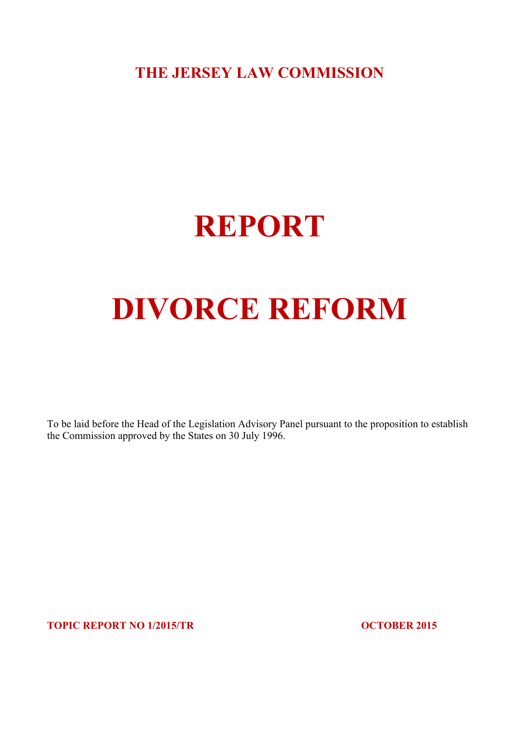**THE JERSEY LAW COMMISSION**

# **REPORT**

# **DIVORCE REFORM**

To be laid before the Head of the Legislation Advisory Panel pursuant to the proposition to establish the Commission approved by the States on 30 July 1996.

**TOPIC REPORT NO 1/2015/TR OCTOBER 2015**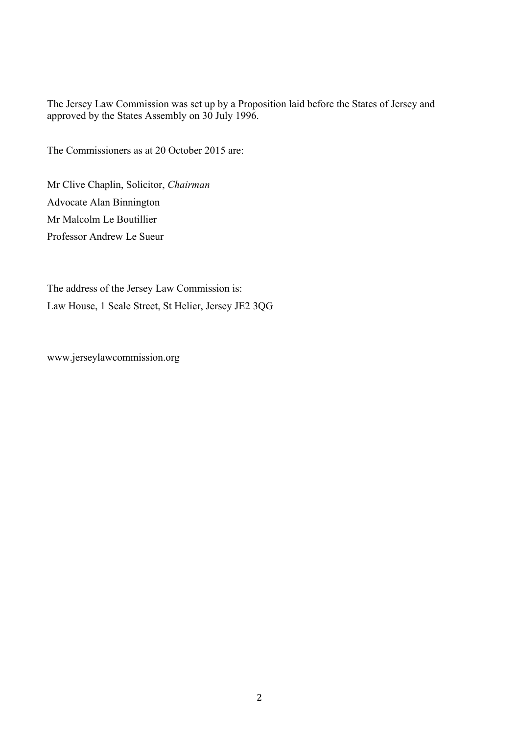The Jersey Law Commission was set up by a Proposition laid before the States of Jersey and approved by the States Assembly on 30 July 1996.

The Commissioners as at 20 October 2015 are:

Mr Clive Chaplin, Solicitor, *Chairman* Advocate Alan Binnington Mr Malcolm Le Boutillier Professor Andrew Le Sueur

The address of the Jersey Law Commission is: Law House, 1 Seale Street, St Helier, Jersey JE2 3QG

www.jerseylawcommission.org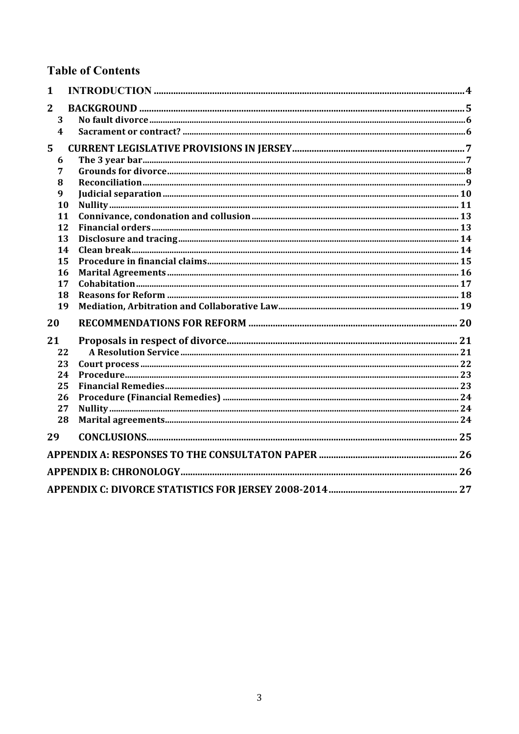### **Table of Contents**

| $\mathbf{1}$   |                         |  |
|----------------|-------------------------|--|
| $\overline{2}$ |                         |  |
|                | 3                       |  |
|                | $\overline{\mathbf{4}}$ |  |
| 5              |                         |  |
|                | 6                       |  |
|                | 7                       |  |
|                | 8                       |  |
|                | 9                       |  |
|                | 10                      |  |
|                | 11                      |  |
|                | 12                      |  |
|                | 13                      |  |
|                | 14                      |  |
|                | 15                      |  |
|                | 16                      |  |
|                | 17                      |  |
|                | 18                      |  |
|                | 19                      |  |
| 20             |                         |  |
| 21             |                         |  |
|                | 22                      |  |
|                | 23                      |  |
|                | 24                      |  |
|                | 25                      |  |
|                | 26                      |  |
|                | 27                      |  |
|                | 28                      |  |
| 29             |                         |  |
|                |                         |  |
|                |                         |  |
|                |                         |  |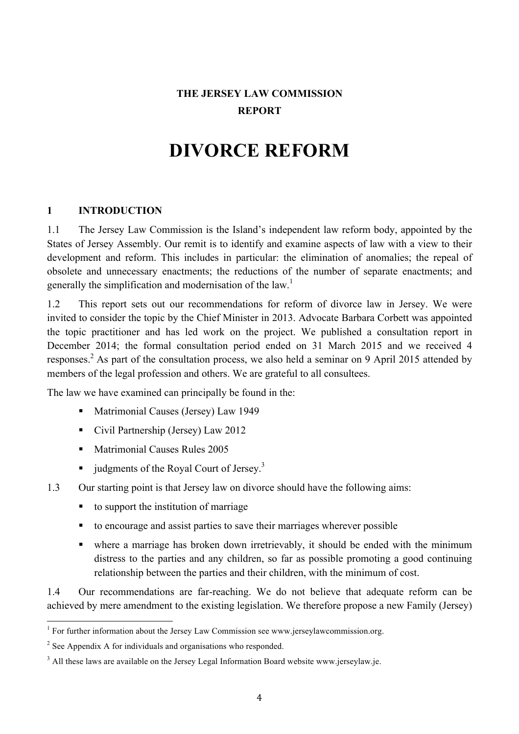### **THE JERSEY LAW COMMISSION REPORT**

## **DIVORCE REFORM**

#### **1 INTRODUCTION**

1.1 The Jersey Law Commission is the Island's independent law reform body, appointed by the States of Jersey Assembly. Our remit is to identify and examine aspects of law with a view to their development and reform. This includes in particular: the elimination of anomalies; the repeal of obsolete and unnecessary enactments; the reductions of the number of separate enactments; and generally the simplification and modernisation of the law.<sup>1</sup>

1.2 This report sets out our recommendations for reform of divorce law in Jersey. We were invited to consider the topic by the Chief Minister in 2013. Advocate Barbara Corbett was appointed the topic practitioner and has led work on the project. We published a consultation report in December 2014; the formal consultation period ended on 31 March 2015 and we received 4 responses.<sup>2</sup> As part of the consultation process, we also held a seminar on 9 April 2015 attended by members of the legal profession and others. We are grateful to all consultees.

The law we have examined can principally be found in the:

- Matrimonial Causes (Jersey) Law 1949
- Civil Partnership (Jersey) Law 2012
- Matrimonial Causes Rules 2005
- udgments of the Royal Court of Jersey.<sup>3</sup>
- 1.3 Our starting point is that Jersey law on divorce should have the following aims:
	- to support the institution of marriage
	- to encourage and assist parties to save their marriages wherever possible
	- where a marriage has broken down irretrievably, it should be ended with the minimum distress to the parties and any children, so far as possible promoting a good continuing relationship between the parties and their children, with the minimum of cost.

1.4 Our recommendations are far-reaching. We do not believe that adequate reform can be achieved by mere amendment to the existing legislation. We therefore propose a new Family (Jersey)

<sup>&</sup>lt;sup>1</sup> For further information about the Jersey Law Commission see www.jerseylawcommission.org.

<sup>&</sup>lt;sup>2</sup> See Appendix A for individuals and organisations who responded.

 $3$  All these laws are available on the Jersey Legal Information Board website www.jerseylaw.je.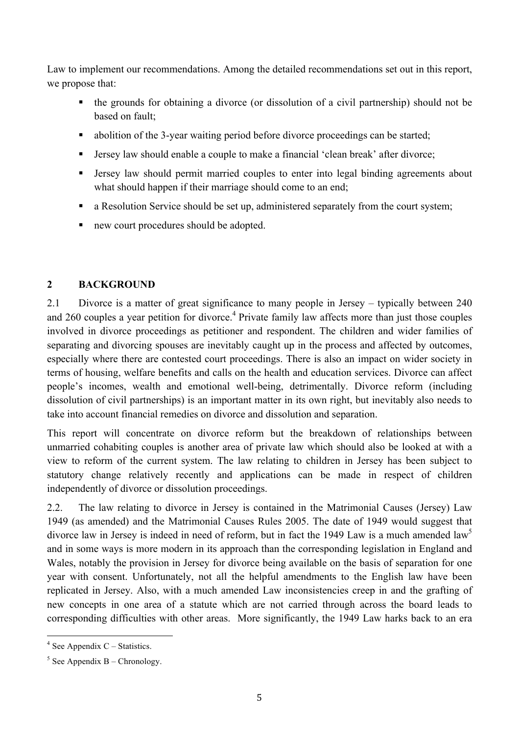Law to implement our recommendations. Among the detailed recommendations set out in this report, we propose that:

- the grounds for obtaining a divorce (or dissolution of a civil partnership) should not be based on fault;
- abolition of the 3-year waiting period before divorce proceedings can be started;
- Jersey law should enable a couple to make a financial 'clean break' after divorce;
- Jersey law should permit married couples to enter into legal binding agreements about what should happen if their marriage should come to an end;
- a Resolution Service should be set up, administered separately from the court system;
- new court procedures should be adopted.

#### **2 BACKGROUND**

2.1 Divorce is a matter of great significance to many people in Jersey – typically between 240 and 260 couples a year petition for divorce.<sup>4</sup> Private family law affects more than just those couples involved in divorce proceedings as petitioner and respondent. The children and wider families of separating and divorcing spouses are inevitably caught up in the process and affected by outcomes, especially where there are contested court proceedings. There is also an impact on wider society in terms of housing, welfare benefits and calls on the health and education services. Divorce can affect people's incomes, wealth and emotional well-being, detrimentally. Divorce reform (including dissolution of civil partnerships) is an important matter in its own right, but inevitably also needs to take into account financial remedies on divorce and dissolution and separation.

This report will concentrate on divorce reform but the breakdown of relationships between unmarried cohabiting couples is another area of private law which should also be looked at with a view to reform of the current system. The law relating to children in Jersey has been subject to statutory change relatively recently and applications can be made in respect of children independently of divorce or dissolution proceedings.

2.2. The law relating to divorce in Jersey is contained in the Matrimonial Causes (Jersey) Law 1949 (as amended) and the Matrimonial Causes Rules 2005. The date of 1949 would suggest that divorce law in Jersey is indeed in need of reform, but in fact the 1949 Law is a much amended law<sup>5</sup> and in some ways is more modern in its approach than the corresponding legislation in England and Wales, notably the provision in Jersey for divorce being available on the basis of separation for one year with consent. Unfortunately, not all the helpful amendments to the English law have been replicated in Jersey. Also, with a much amended Law inconsistencies creep in and the grafting of new concepts in one area of a statute which are not carried through across the board leads to corresponding difficulties with other areas. More significantly, the 1949 Law harks back to an era

 $4$  See Appendix C – Statistics.

 $5$  See Appendix B – Chronology.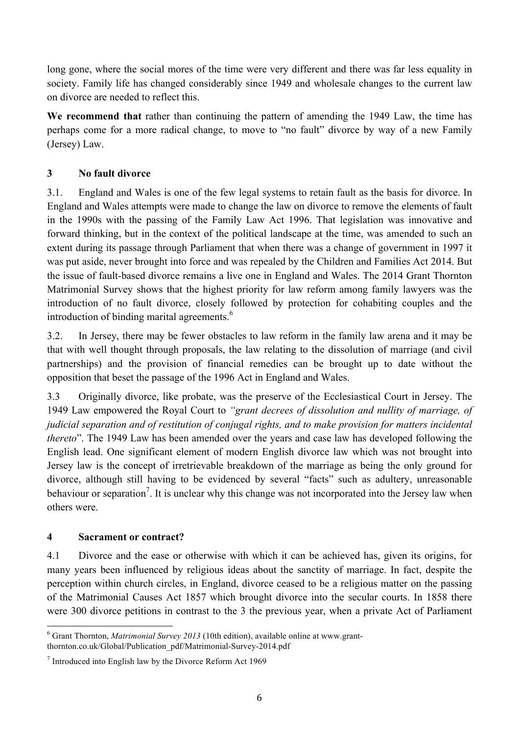long gone, where the social mores of the time were very different and there was far less equality in society. Family life has changed considerably since 1949 and wholesale changes to the current law on divorce are needed to reflect this.

**We recommend that** rather than continuing the pattern of amending the 1949 Law, the time has perhaps come for a more radical change, to move to "no fault" divorce by way of a new Family (Jersey) Law.

#### **3 No fault divorce**

3.1. England and Wales is one of the few legal systems to retain fault as the basis for divorce. In England and Wales attempts were made to change the law on divorce to remove the elements of fault in the 1990s with the passing of the Family Law Act 1996. That legislation was innovative and forward thinking, but in the context of the political landscape at the time, was amended to such an extent during its passage through Parliament that when there was a change of government in 1997 it was put aside, never brought into force and was repealed by the Children and Families Act 2014. But the issue of fault-based divorce remains a live one in England and Wales. The 2014 Grant Thornton Matrimonial Survey shows that the highest priority for law reform among family lawyers was the introduction of no fault divorce, closely followed by protection for cohabiting couples and the introduction of binding marital agreements.<sup>6</sup>

3.2. In Jersey, there may be fewer obstacles to law reform in the family law arena and it may be that with well thought through proposals, the law relating to the dissolution of marriage (and civil partnerships) and the provision of financial remedies can be brought up to date without the opposition that beset the passage of the 1996 Act in England and Wales.

3.3 Originally divorce, like probate, was the preserve of the Ecclesiastical Court in Jersey. The 1949 Law empowered the Royal Court to *"grant decrees of dissolution and nullity of marriage, of judicial separation and of restitution of conjugal rights, and to make provision for matters incidental thereto*". The 1949 Law has been amended over the years and case law has developed following the English lead. One significant element of modern English divorce law which was not brought into Jersey law is the concept of irretrievable breakdown of the marriage as being the only ground for divorce, although still having to be evidenced by several "facts" such as adultery, unreasonable behaviour or separation<sup>7</sup>. It is unclear why this change was not incorporated into the Jersey law when others were.

#### **4 Sacrament or contract?**

4.1 Divorce and the ease or otherwise with which it can be achieved has, given its origins, for many years been influenced by religious ideas about the sanctity of marriage. In fact, despite the perception within church circles, in England, divorce ceased to be a religious matter on the passing of the Matrimonial Causes Act 1857 which brought divorce into the secular courts. In 1858 there were 300 divorce petitions in contrast to the 3 the previous year, when a private Act of Parliament

 <sup>6</sup> Grant Thornton, *Matrimonial Survey 2013* (10th edition), available online at www.grantthornton.co.uk/Global/Publication\_pdf/Matrimonial-Survey-2014.pdf

<sup>7</sup> Introduced into English law by the Divorce Reform Act 1969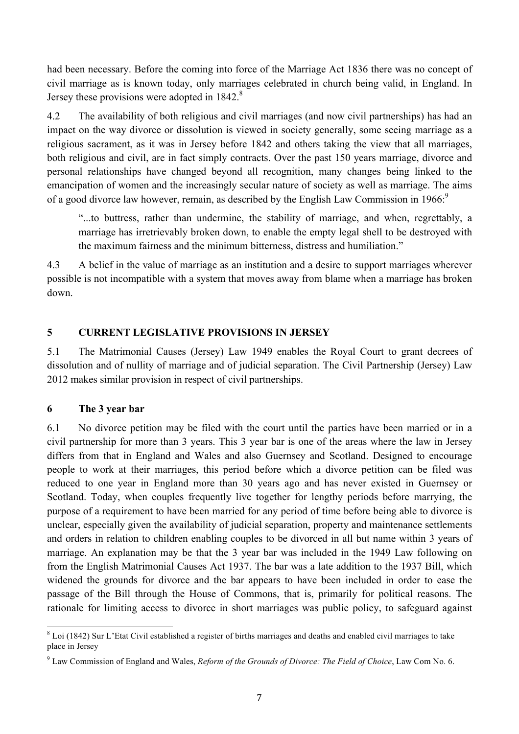had been necessary. Before the coming into force of the Marriage Act 1836 there was no concept of civil marriage as is known today, only marriages celebrated in church being valid, in England. In Jersey these provisions were adopted in 1842.<sup>8</sup>

4.2 The availability of both religious and civil marriages (and now civil partnerships) has had an impact on the way divorce or dissolution is viewed in society generally, some seeing marriage as a religious sacrament, as it was in Jersey before 1842 and others taking the view that all marriages, both religious and civil, are in fact simply contracts. Over the past 150 years marriage, divorce and personal relationships have changed beyond all recognition, many changes being linked to the emancipation of women and the increasingly secular nature of society as well as marriage. The aims of a good divorce law however, remain, as described by the English Law Commission in 1966:<sup>9</sup>

"...to buttress, rather than undermine, the stability of marriage, and when, regrettably, a marriage has irretrievably broken down, to enable the empty legal shell to be destroyed with the maximum fairness and the minimum bitterness, distress and humiliation."

4.3 A belief in the value of marriage as an institution and a desire to support marriages wherever possible is not incompatible with a system that moves away from blame when a marriage has broken down.

#### **5 CURRENT LEGISLATIVE PROVISIONS IN JERSEY**

5.1 The Matrimonial Causes (Jersey) Law 1949 enables the Royal Court to grant decrees of dissolution and of nullity of marriage and of judicial separation. The Civil Partnership (Jersey) Law 2012 makes similar provision in respect of civil partnerships.

#### **6 The 3 year bar**

6.1 No divorce petition may be filed with the court until the parties have been married or in a civil partnership for more than 3 years. This 3 year bar is one of the areas where the law in Jersey differs from that in England and Wales and also Guernsey and Scotland. Designed to encourage people to work at their marriages, this period before which a divorce petition can be filed was reduced to one year in England more than 30 years ago and has never existed in Guernsey or Scotland. Today, when couples frequently live together for lengthy periods before marrying, the purpose of a requirement to have been married for any period of time before being able to divorce is unclear, especially given the availability of judicial separation, property and maintenance settlements and orders in relation to children enabling couples to be divorced in all but name within 3 years of marriage. An explanation may be that the 3 year bar was included in the 1949 Law following on from the English Matrimonial Causes Act 1937. The bar was a late addition to the 1937 Bill, which widened the grounds for divorce and the bar appears to have been included in order to ease the passage of the Bill through the House of Commons, that is, primarily for political reasons. The rationale for limiting access to divorce in short marriages was public policy, to safeguard against

<sup>&</sup>lt;sup>8</sup> Loi (1842) Sur L'Etat Civil established a register of births marriages and deaths and enabled civil marriages to take place in Jersey

<sup>9</sup> Law Commission of England and Wales, *Reform of the Grounds of Divorce: The Field of Choice*, Law Com No. 6.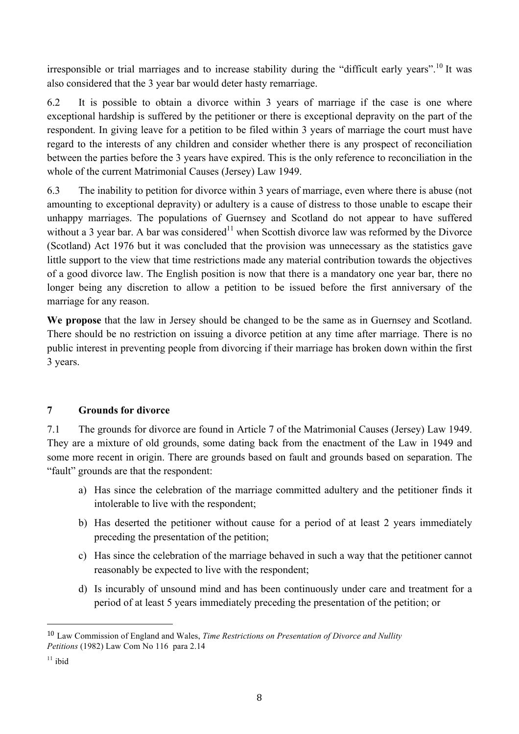irresponsible or trial marriages and to increase stability during the "difficult early years".<sup>10</sup> It was also considered that the 3 year bar would deter hasty remarriage.

6.2 It is possible to obtain a divorce within 3 years of marriage if the case is one where exceptional hardship is suffered by the petitioner or there is exceptional depravity on the part of the respondent. In giving leave for a petition to be filed within 3 years of marriage the court must have regard to the interests of any children and consider whether there is any prospect of reconciliation between the parties before the 3 years have expired. This is the only reference to reconciliation in the whole of the current Matrimonial Causes (Jersey) Law 1949.

6.3 The inability to petition for divorce within 3 years of marriage, even where there is abuse (not amounting to exceptional depravity) or adultery is a cause of distress to those unable to escape their unhappy marriages. The populations of Guernsey and Scotland do not appear to have suffered without a 3 year bar. A bar was considered<sup>11</sup> when Scottish divorce law was reformed by the Divorce (Scotland) Act 1976 but it was concluded that the provision was unnecessary as the statistics gave little support to the view that time restrictions made any material contribution towards the objectives of a good divorce law. The English position is now that there is a mandatory one year bar, there no longer being any discretion to allow a petition to be issued before the first anniversary of the marriage for any reason.

**We propose** that the law in Jersey should be changed to be the same as in Guernsey and Scotland. There should be no restriction on issuing a divorce petition at any time after marriage. There is no public interest in preventing people from divorcing if their marriage has broken down within the first 3 years.

#### **7 Grounds for divorce**

 

7.1 The grounds for divorce are found in Article 7 of the Matrimonial Causes (Jersey) Law 1949. They are a mixture of old grounds, some dating back from the enactment of the Law in 1949 and some more recent in origin. There are grounds based on fault and grounds based on separation. The "fault" grounds are that the respondent:

- a) Has since the celebration of the marriage committed adultery and the petitioner finds it intolerable to live with the respondent;
- b) Has deserted the petitioner without cause for a period of at least 2 years immediately preceding the presentation of the petition;
- c) Has since the celebration of the marriage behaved in such a way that the petitioner cannot reasonably be expected to live with the respondent;
- d) Is incurably of unsound mind and has been continuously under care and treatment for a period of at least 5 years immediately preceding the presentation of the petition; or

<sup>10</sup> Law Commission of England and Wales, *Time Restrictions on Presentation of Divorce and Nullity Petitions* (1982) Law Com No 116 para 2.14

 $11$  ibid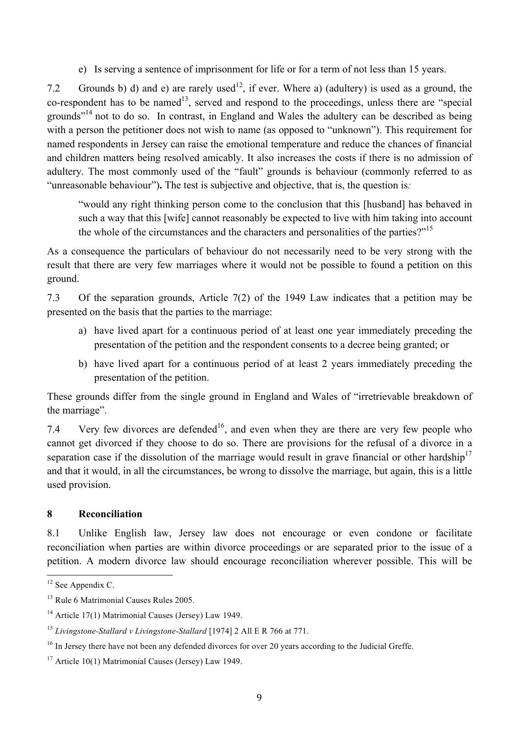e) Is serving a sentence of imprisonment for life or for a term of not less than 15 years.

7.2 Grounds b) d) and e) are rarely used<sup>12</sup>, if ever. Where a) (adultery) is used as a ground, the  $co$ -respondent has to be named<sup>13</sup>, served and respond to the proceedings, unless there are "special" grounds"14 not to do so. In contrast, in England and Wales the adultery can be described as being with a person the petitioner does not wish to name (as opposed to "unknown"). This requirement for named respondents in Jersey can raise the emotional temperature and reduce the chances of financial and children matters being resolved amicably. It also increases the costs if there is no admission of adultery. The most commonly used of the "fault" grounds is behaviour (commonly referred to as "unreasonable behaviour")**.** The test is subjective and objective, that is, the question is*:*

"would any right thinking person come to the conclusion that this [husband] has behaved in such a way that this [wife] cannot reasonably be expected to live with him taking into account the whole of the circumstances and the characters and personalities of the parties?"<sup>15</sup>

As a consequence the particulars of behaviour do not necessarily need to be very strong with the result that there are very few marriages where it would not be possible to found a petition on this ground.

7.3 Of the separation grounds, Article 7(2) of the 1949 Law indicates that a petition may be presented on the basis that the parties to the marriage:

- a) have lived apart for a continuous period of at least one year immediately preceding the presentation of the petition and the respondent consents to a decree being granted; or
- b) have lived apart for a continuous period of at least 2 years immediately preceding the presentation of the petition.

These grounds differ from the single ground in England and Wales of "irretrievable breakdown of the marriage".

7.4 Very few divorces are defended<sup>16</sup>, and even when they are there are very few people who cannot get divorced if they choose to do so. There are provisions for the refusal of a divorce in a separation case if the dissolution of the marriage would result in grave financial or other hardship<sup>17</sup> and that it would, in all the circumstances, be wrong to dissolve the marriage, but again, this is a little used provision.

#### **8 Reconciliation**

8.1 Unlike English law, Jersey law does not encourage or even condone or facilitate reconciliation when parties are within divorce proceedings or are separated prior to the issue of a petition. A modern divorce law should encourage reconciliation wherever possible. This will be

<sup>&</sup>lt;sup>12</sup> See Appendix C.

<sup>&</sup>lt;sup>13</sup> Rule 6 Matrimonial Causes Rules 2005.

<sup>&</sup>lt;sup>14</sup> Article 17(1) Matrimonial Causes (Jersey) Law 1949.

<sup>15</sup> *Livingstone-Stallard v Livingstone-Stallard* [1974] 2 All E R 766 at 771.

<sup>&</sup>lt;sup>16</sup> In Jersey there have not been any defended divorces for over 20 years according to the Judicial Greffe.

 $17$  Article 10(1) Matrimonial Causes (Jersey) Law 1949.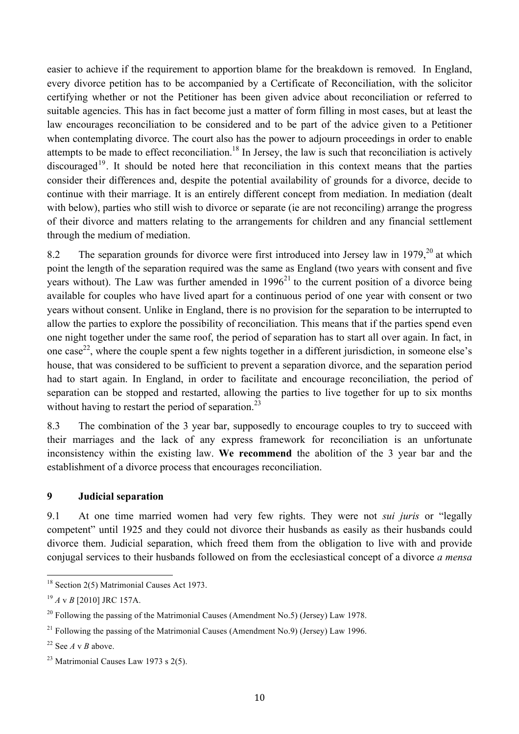easier to achieve if the requirement to apportion blame for the breakdown is removed. In England, every divorce petition has to be accompanied by a Certificate of Reconciliation, with the solicitor certifying whether or not the Petitioner has been given advice about reconciliation or referred to suitable agencies. This has in fact become just a matter of form filling in most cases, but at least the law encourages reconciliation to be considered and to be part of the advice given to a Petitioner when contemplating divorce. The court also has the power to adjourn proceedings in order to enable attempts to be made to effect reconciliation.<sup>18</sup> In Jersey, the law is such that reconciliation is actively discouraged<sup>19</sup>. It should be noted here that reconciliation in this context means that the parties consider their differences and, despite the potential availability of grounds for a divorce, decide to continue with their marriage. It is an entirely different concept from mediation. In mediation (dealt with below), parties who still wish to divorce or separate (ie are not reconciling) arrange the progress of their divorce and matters relating to the arrangements for children and any financial settlement through the medium of mediation.

8.2 The separation grounds for divorce were first introduced into Jersey law in 1979,  $20$  at which point the length of the separation required was the same as England (two years with consent and five years without). The Law was further amended in  $1996<sup>21</sup>$  to the current position of a divorce being available for couples who have lived apart for a continuous period of one year with consent or two years without consent. Unlike in England, there is no provision for the separation to be interrupted to allow the parties to explore the possibility of reconciliation. This means that if the parties spend even one night together under the same roof, the period of separation has to start all over again. In fact, in one case<sup>22</sup>, where the couple spent a few nights together in a different jurisdiction, in someone else's house, that was considered to be sufficient to prevent a separation divorce, and the separation period had to start again. In England, in order to facilitate and encourage reconciliation, the period of separation can be stopped and restarted, allowing the parties to live together for up to six months without having to restart the period of separation.<sup>23</sup>

8.3 The combination of the 3 year bar, supposedly to encourage couples to try to succeed with their marriages and the lack of any express framework for reconciliation is an unfortunate inconsistency within the existing law. **We recommend** the abolition of the 3 year bar and the establishment of a divorce process that encourages reconciliation.

#### **9 Judicial separation**

9.1 At one time married women had very few rights. They were not *sui juris* or "legally competent" until 1925 and they could not divorce their husbands as easily as their husbands could divorce them. Judicial separation, which freed them from the obligation to live with and provide conjugal services to their husbands followed on from the ecclesiastical concept of a divorce *a mensa* 

<sup>&</sup>lt;sup>18</sup> Section 2(5) Matrimonial Causes Act 1973.

<sup>19</sup> *A* v *B* [2010] JRC 157A.

<sup>&</sup>lt;sup>20</sup> Following the passing of the Matrimonial Causes (Amendment No.5) (Jersey) Law 1978.

<sup>&</sup>lt;sup>21</sup> Following the passing of the Matrimonial Causes (Amendment No.9) (Jersey) Law 1996.

 $22$  See *A* v *B* above.

<sup>&</sup>lt;sup>23</sup> Matrimonial Causes Law 1973 s  $2(5)$ .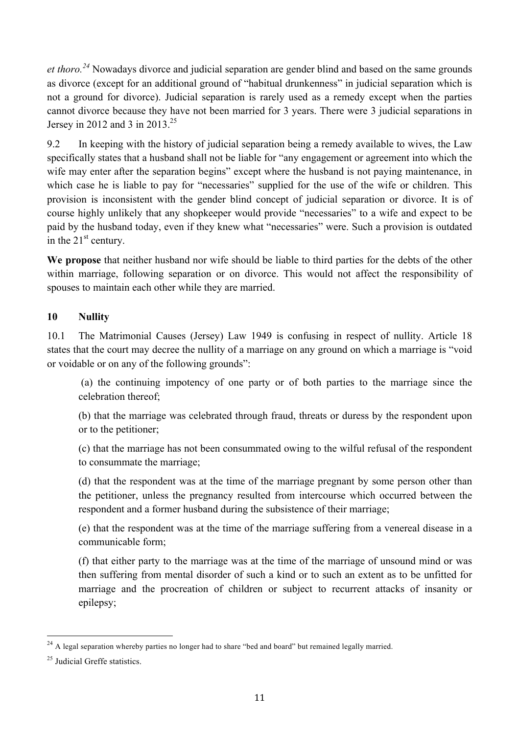*et thoro.<sup>24</sup>* Nowadays divorce and judicial separation are gender blind and based on the same grounds as divorce (except for an additional ground of "habitual drunkenness" in judicial separation which is not a ground for divorce). Judicial separation is rarely used as a remedy except when the parties cannot divorce because they have not been married for 3 years. There were 3 judicial separations in Jersey in 2012 and 3 in 2013.<sup>25</sup>

9.2 In keeping with the history of judicial separation being a remedy available to wives, the Law specifically states that a husband shall not be liable for "any engagement or agreement into which the wife may enter after the separation begins" except where the husband is not paying maintenance, in which case he is liable to pay for "necessaries" supplied for the use of the wife or children. This provision is inconsistent with the gender blind concept of judicial separation or divorce. It is of course highly unlikely that any shopkeeper would provide "necessaries" to a wife and expect to be paid by the husband today, even if they knew what "necessaries" were. Such a provision is outdated in the  $21<sup>st</sup>$  century.

**We propose** that neither husband nor wife should be liable to third parties for the debts of the other within marriage, following separation or on divorce. This would not affect the responsibility of spouses to maintain each other while they are married.

#### **10 Nullity**

10.1 The Matrimonial Causes (Jersey) Law 1949 is confusing in respect of nullity. Article 18 states that the court may decree the nullity of a marriage on any ground on which a marriage is "void or voidable or on any of the following grounds":

(a) the continuing impotency of one party or of both parties to the marriage since the celebration thereof;

(b) that the marriage was celebrated through fraud, threats or duress by the respondent upon or to the petitioner;

(c) that the marriage has not been consummated owing to the wilful refusal of the respondent to consummate the marriage;

(d) that the respondent was at the time of the marriage pregnant by some person other than the petitioner, unless the pregnancy resulted from intercourse which occurred between the respondent and a former husband during the subsistence of their marriage;

(e) that the respondent was at the time of the marriage suffering from a venereal disease in a communicable form;

(f) that either party to the marriage was at the time of the marriage of unsound mind or was then suffering from mental disorder of such a kind or to such an extent as to be unfitted for marriage and the procreation of children or subject to recurrent attacks of insanity or epilepsy;

<sup>&</sup>lt;sup>24</sup> A legal separation whereby parties no longer had to share "bed and board" but remained legally married.

<sup>25</sup> Judicial Greffe statistics.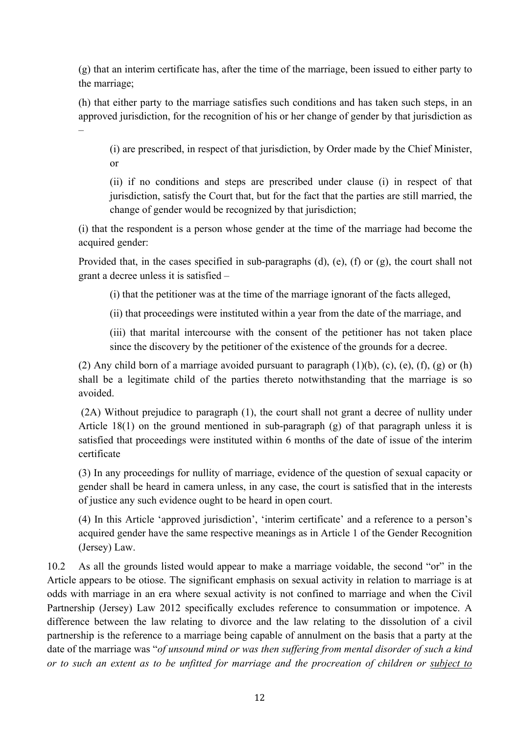(g) that an interim certificate has, after the time of the marriage, been issued to either party to the marriage;

(h) that either party to the marriage satisfies such conditions and has taken such steps, in an approved jurisdiction, for the recognition of his or her change of gender by that jurisdiction as –

(i) are prescribed, in respect of that jurisdiction, by Order made by the Chief Minister, or

(ii) if no conditions and steps are prescribed under clause (i) in respect of that jurisdiction, satisfy the Court that, but for the fact that the parties are still married, the change of gender would be recognized by that jurisdiction;

(i) that the respondent is a person whose gender at the time of the marriage had become the acquired gender:

Provided that, in the cases specified in sub-paragraphs (d), (e), (f) or (g), the court shall not grant a decree unless it is satisfied –

(i) that the petitioner was at the time of the marriage ignorant of the facts alleged,

(ii) that proceedings were instituted within a year from the date of the marriage, and

(iii) that marital intercourse with the consent of the petitioner has not taken place since the discovery by the petitioner of the existence of the grounds for a decree.

(2) Any child born of a marriage avoided pursuant to paragraph  $(1)(b)$ ,  $(c)$ ,  $(e)$ ,  $(f)$ ,  $(g)$  or  $(h)$ shall be a legitimate child of the parties thereto notwithstanding that the marriage is so avoided.

(2A) Without prejudice to paragraph (1), the court shall not grant a decree of nullity under Article 18(1) on the ground mentioned in sub-paragraph (g) of that paragraph unless it is satisfied that proceedings were instituted within 6 months of the date of issue of the interim certificate

(3) In any proceedings for nullity of marriage, evidence of the question of sexual capacity or gender shall be heard in camera unless, in any case, the court is satisfied that in the interests of justice any such evidence ought to be heard in open court.

(4) In this Article 'approved jurisdiction', 'interim certificate' and a reference to a person's acquired gender have the same respective meanings as in Article 1 of the Gender Recognition (Jersey) Law.

10.2 As all the grounds listed would appear to make a marriage voidable, the second "or" in the Article appears to be otiose. The significant emphasis on sexual activity in relation to marriage is at odds with marriage in an era where sexual activity is not confined to marriage and when the Civil Partnership (Jersey) Law 2012 specifically excludes reference to consummation or impotence. A difference between the law relating to divorce and the law relating to the dissolution of a civil partnership is the reference to a marriage being capable of annulment on the basis that a party at the date of the marriage was "*of unsound mind or was then suffering from mental disorder of such a kind or to such an extent as to be unfitted for marriage and the procreation of children or subject to*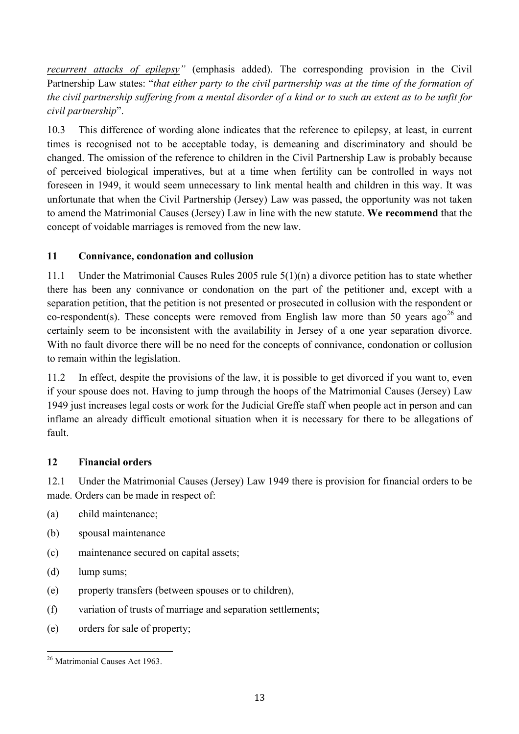*recurrent attacks of epilepsy"* (emphasis added). The corresponding provision in the Civil Partnership Law states: "*that either party to the civil partnership was at the time of the formation of the civil partnership suffering from a mental disorder of a kind or to such an extent as to be unfit for civil partnership*".

10.3 This difference of wording alone indicates that the reference to epilepsy, at least, in current times is recognised not to be acceptable today, is demeaning and discriminatory and should be changed. The omission of the reference to children in the Civil Partnership Law is probably because of perceived biological imperatives, but at a time when fertility can be controlled in ways not foreseen in 1949, it would seem unnecessary to link mental health and children in this way. It was unfortunate that when the Civil Partnership (Jersey) Law was passed, the opportunity was not taken to amend the Matrimonial Causes (Jersey) Law in line with the new statute. **We recommend** that the concept of voidable marriages is removed from the new law.

#### **11 Connivance, condonation and collusion**

11.1 Under the Matrimonial Causes Rules 2005 rule 5(1)(n) a divorce petition has to state whether there has been any connivance or condonation on the part of the petitioner and, except with a separation petition, that the petition is not presented or prosecuted in collusion with the respondent or co-respondent(s). These concepts were removed from English law more than 50 years ago<sup>26</sup> and certainly seem to be inconsistent with the availability in Jersey of a one year separation divorce. With no fault divorce there will be no need for the concepts of connivance, condonation or collusion to remain within the legislation.

11.2 In effect, despite the provisions of the law, it is possible to get divorced if you want to, even if your spouse does not. Having to jump through the hoops of the Matrimonial Causes (Jersey) Law 1949 just increases legal costs or work for the Judicial Greffe staff when people act in person and can inflame an already difficult emotional situation when it is necessary for there to be allegations of fault.

#### **12 Financial orders**

12.1 Under the Matrimonial Causes (Jersey) Law 1949 there is provision for financial orders to be made. Orders can be made in respect of:

- (a) child maintenance;
- (b) spousal maintenance
- (c) maintenance secured on capital assets;
- (d) lump sums;
- (e) property transfers (between spouses or to children),
- (f) variation of trusts of marriage and separation settlements;
- (e) orders for sale of property;

 <sup>26</sup> Matrimonial Causes Act 1963.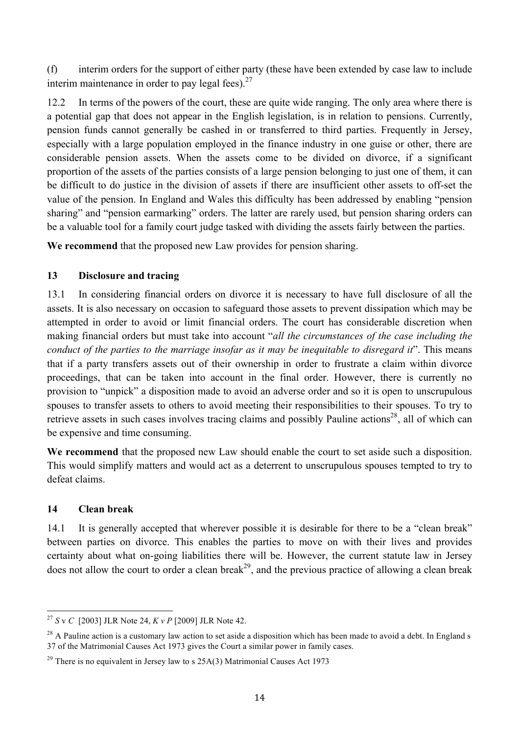(f) interim orders for the support of either party (these have been extended by case law to include interim maintenance in order to pay legal fees). $27$ 

12.2 In terms of the powers of the court, these are quite wide ranging. The only area where there is a potential gap that does not appear in the English legislation, is in relation to pensions. Currently, pension funds cannot generally be cashed in or transferred to third parties. Frequently in Jersey, especially with a large population employed in the finance industry in one guise or other, there are considerable pension assets. When the assets come to be divided on divorce, if a significant proportion of the assets of the parties consists of a large pension belonging to just one of them, it can be difficult to do justice in the division of assets if there are insufficient other assets to off-set the value of the pension. In England and Wales this difficulty has been addressed by enabling "pension sharing" and "pension earmarking" orders. The latter are rarely used, but pension sharing orders can be a valuable tool for a family court judge tasked with dividing the assets fairly between the parties.

**We recommend** that the proposed new Law provides for pension sharing.

#### **13 Disclosure and tracing**

13.1 In considering financial orders on divorce it is necessary to have full disclosure of all the assets. It is also necessary on occasion to safeguard those assets to prevent dissipation which may be attempted in order to avoid or limit financial orders. The court has considerable discretion when making financial orders but must take into account "*all the circumstances of the case including the conduct of the parties to the marriage insofar as it may be inequitable to disregard it*". This means that if a party transfers assets out of their ownership in order to frustrate a claim within divorce proceedings, that can be taken into account in the final order. However, there is currently no provision to "unpick" a disposition made to avoid an adverse order and so it is open to unscrupulous spouses to transfer assets to others to avoid meeting their responsibilities to their spouses. To try to retrieve assets in such cases involves tracing claims and possibly Pauline actions<sup>28</sup>, all of which can be expensive and time consuming.

**We recommend** that the proposed new Law should enable the court to set aside such a disposition. This would simplify matters and would act as a deterrent to unscrupulous spouses tempted to try to defeat claims.

#### **14 Clean break**

14.1 It is generally accepted that wherever possible it is desirable for there to be a "clean break" between parties on divorce. This enables the parties to move on with their lives and provides certainty about what on-going liabilities there will be. However, the current statute law in Jersey does not allow the court to order a clean break<sup>29</sup>, and the previous practice of allowing a clean break

 <sup>27</sup> *<sup>S</sup>* <sup>v</sup>*C* [2003] JLR Note 24, *<sup>K</sup> v P* [2009] JLR Note 42.

 $28$  A Pauline action is a customary law action to set aside a disposition which has been made to avoid a debt. In England s 37 of the Matrimonial Causes Act 1973 gives the Court a similar power in family cases.

 $29$  There is no equivalent in Jersey law to s  $25A(3)$  Matrimonial Causes Act 1973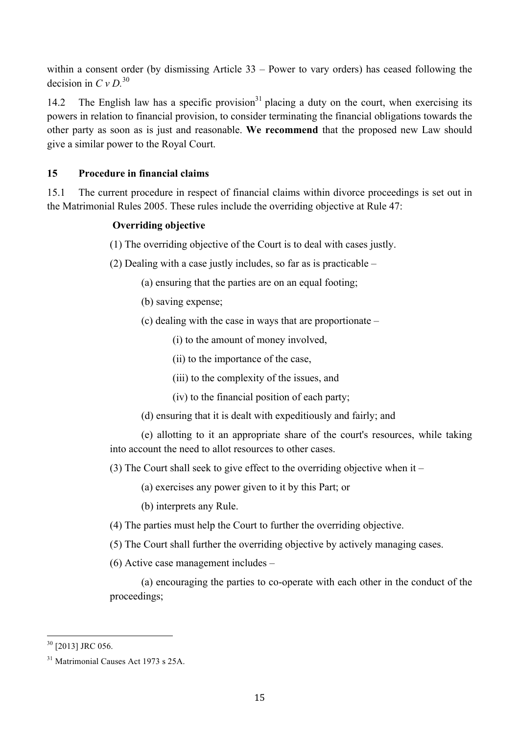within a consent order (by dismissing Article 33 – Power to vary orders) has ceased following the decision in *C v D.* 30

14.2 The English law has a specific provision<sup>31</sup> placing a duty on the court, when exercising its powers in relation to financial provision, to consider terminating the financial obligations towards the other party as soon as is just and reasonable. **We recommend** that the proposed new Law should give a similar power to the Royal Court.

#### **15 Procedure in financial claims**

15.1 The current procedure in respect of financial claims within divorce proceedings is set out in the Matrimonial Rules 2005. These rules include the overriding objective at Rule 47:

#### **Overriding objective**

- (1) The overriding objective of the Court is to deal with cases justly.
- (2) Dealing with a case justly includes, so far as is practicable
	- (a) ensuring that the parties are on an equal footing;
	- (b) saving expense;
	- (c) dealing with the case in ways that are proportionate
		- (i) to the amount of money involved,
		- (ii) to the importance of the case,
		- (iii) to the complexity of the issues, and
		- (iv) to the financial position of each party;
	- (d) ensuring that it is dealt with expeditiously and fairly; and

(e) allotting to it an appropriate share of the court's resources, while taking into account the need to allot resources to other cases.

(3) The Court shall seek to give effect to the overriding objective when it –

(a) exercises any power given to it by this Part; or

(b) interprets any Rule.

- (4) The parties must help the Court to further the overriding objective.
- (5) The Court shall further the overriding objective by actively managing cases.
- (6) Active case management includes –

(a) encouraging the parties to co-operate with each other in the conduct of the proceedings;

<sup>&</sup>lt;sup>30</sup> [2013] JRC 056.

<sup>31</sup> Matrimonial Causes Act 1973 s 25A.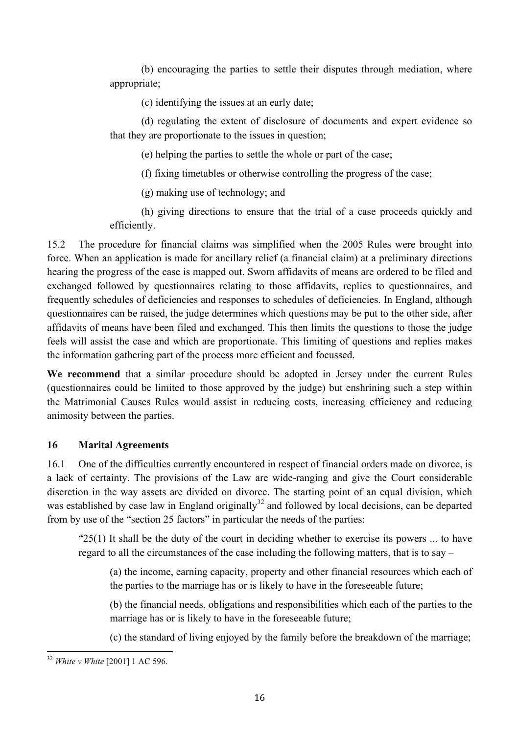(b) encouraging the parties to settle their disputes through mediation, where appropriate;

(c) identifying the issues at an early date;

(d) regulating the extent of disclosure of documents and expert evidence so that they are proportionate to the issues in question;

(e) helping the parties to settle the whole or part of the case;

(f) fixing timetables or otherwise controlling the progress of the case;

(g) making use of technology; and

(h) giving directions to ensure that the trial of a case proceeds quickly and efficiently.

15.2 The procedure for financial claims was simplified when the 2005 Rules were brought into force. When an application is made for ancillary relief (a financial claim) at a preliminary directions hearing the progress of the case is mapped out. Sworn affidavits of means are ordered to be filed and exchanged followed by questionnaires relating to those affidavits, replies to questionnaires, and frequently schedules of deficiencies and responses to schedules of deficiencies. In England, although questionnaires can be raised, the judge determines which questions may be put to the other side, after affidavits of means have been filed and exchanged. This then limits the questions to those the judge feels will assist the case and which are proportionate. This limiting of questions and replies makes the information gathering part of the process more efficient and focussed.

**We recommend** that a similar procedure should be adopted in Jersey under the current Rules (questionnaires could be limited to those approved by the judge) but enshrining such a step within the Matrimonial Causes Rules would assist in reducing costs, increasing efficiency and reducing animosity between the parties.

#### **16 Marital Agreements**

16.1 One of the difficulties currently encountered in respect of financial orders made on divorce, is a lack of certainty. The provisions of the Law are wide-ranging and give the Court considerable discretion in the way assets are divided on divorce. The starting point of an equal division, which was established by case law in England originally<sup>32</sup> and followed by local decisions, can be departed from by use of the "section 25 factors" in particular the needs of the parties:

" $25(1)$  It shall be the duty of the court in deciding whether to exercise its powers ... to have regard to all the circumstances of the case including the following matters, that is to say –

(a) the income, earning capacity, property and other financial resources which each of the parties to the marriage has or is likely to have in the foreseeable future;

(b) the financial needs, obligations and responsibilities which each of the parties to the marriage has or is likely to have in the foreseeable future;

(c) the standard of living enjoyed by the family before the breakdown of the marriage;

 <sup>32</sup> *White v White* [2001] 1 AC 596.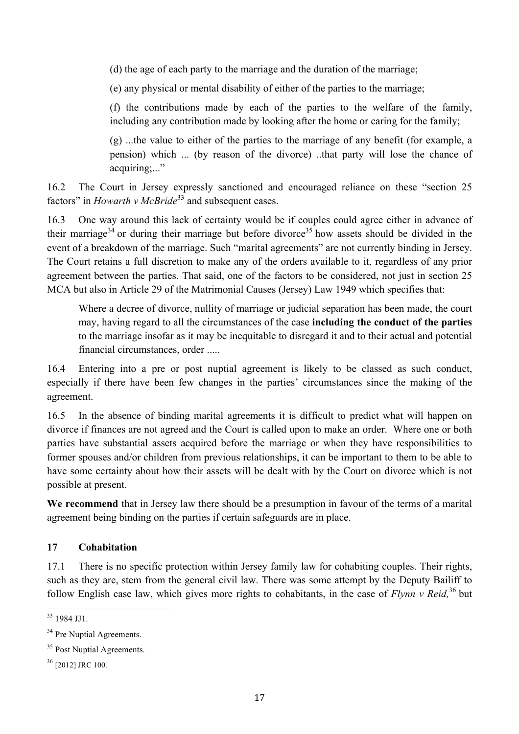(d) the age of each party to the marriage and the duration of the marriage;

(e) any physical or mental disability of either of the parties to the marriage;

(f) the contributions made by each of the parties to the welfare of the family, including any contribution made by looking after the home or caring for the family;

(g) ...the value to either of the parties to the marriage of any benefit (for example, a pension) which ... (by reason of the divorce) ..that party will lose the chance of acquiring;..."

16.2 The Court in Jersey expressly sanctioned and encouraged reliance on these "section 25 factors" in *Howarth v McBride*<sup>33</sup> and subsequent cases.

16.3 One way around this lack of certainty would be if couples could agree either in advance of their marriage<sup>34</sup> or during their marriage but before divorce<sup>35</sup> how assets should be divided in the event of a breakdown of the marriage. Such "marital agreements" are not currently binding in Jersey. The Court retains a full discretion to make any of the orders available to it, regardless of any prior agreement between the parties. That said, one of the factors to be considered, not just in section 25 MCA but also in Article 29 of the Matrimonial Causes (Jersey) Law 1949 which specifies that:

Where a decree of divorce, nullity of marriage or judicial separation has been made, the court may, having regard to all the circumstances of the case **including the conduct of the parties**  to the marriage insofar as it may be inequitable to disregard it and to their actual and potential financial circumstances, order .....

16.4 Entering into a pre or post nuptial agreement is likely to be classed as such conduct, especially if there have been few changes in the parties' circumstances since the making of the agreement.

16.5 In the absence of binding marital agreements it is difficult to predict what will happen on divorce if finances are not agreed and the Court is called upon to make an order. Where one or both parties have substantial assets acquired before the marriage or when they have responsibilities to former spouses and/or children from previous relationships, it can be important to them to be able to have some certainty about how their assets will be dealt with by the Court on divorce which is not possible at present.

We recommend that in Jersey law there should be a presumption in favour of the terms of a marital agreement being binding on the parties if certain safeguards are in place.

#### **17 Cohabitation**

17.1 There is no specific protection within Jersey family law for cohabiting couples. Their rights, such as they are, stem from the general civil law. There was some attempt by the Deputy Bailiff to follow English case law, which gives more rights to cohabitants, in the case of *Flynn v Reid,* <sup>36</sup> but

 $33$  1984 JH<sub>1</sub>.

<sup>&</sup>lt;sup>34</sup> Pre Nuptial Agreements.

<sup>&</sup>lt;sup>35</sup> Post Nuptial Agreements.

<sup>36</sup> [2012] JRC 100.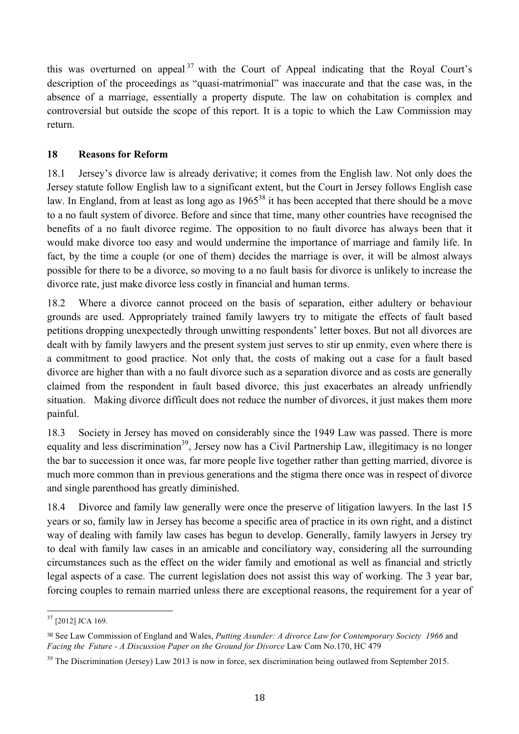this was overturned on appeal  $37$  with the Court of Appeal indicating that the Royal Court's description of the proceedings as "quasi-matrimonial" was inaccurate and that the case was, in the absence of a marriage, essentially a property dispute. The law on cohabitation is complex and controversial but outside the scope of this report. It is a topic to which the Law Commission may return.

#### **18 Reasons for Reform**

18.1 Jersey's divorce law is already derivative; it comes from the English law. Not only does the Jersey statute follow English law to a significant extent, but the Court in Jersey follows English case law. In England, from at least as long ago as 1965<sup>38</sup> it has been accepted that there should be a move to a no fault system of divorce. Before and since that time, many other countries have recognised the benefits of a no fault divorce regime. The opposition to no fault divorce has always been that it would make divorce too easy and would undermine the importance of marriage and family life. In fact, by the time a couple (or one of them) decides the marriage is over, it will be almost always possible for there to be a divorce, so moving to a no fault basis for divorce is unlikely to increase the divorce rate, just make divorce less costly in financial and human terms.

18.2 Where a divorce cannot proceed on the basis of separation, either adultery or behaviour grounds are used. Appropriately trained family lawyers try to mitigate the effects of fault based petitions dropping unexpectedly through unwitting respondents' letter boxes. But not all divorces are dealt with by family lawyers and the present system just serves to stir up enmity, even where there is a commitment to good practice. Not only that, the costs of making out a case for a fault based divorce are higher than with a no fault divorce such as a separation divorce and as costs are generally claimed from the respondent in fault based divorce, this just exacerbates an already unfriendly situation. Making divorce difficult does not reduce the number of divorces, it just makes them more painful.

18.3 Society in Jersey has moved on considerably since the 1949 Law was passed. There is more equality and less discrimination<sup>39</sup>, Jersey now has a Civil Partnership Law, illegitimacy is no longer the bar to succession it once was, far more people live together rather than getting married, divorce is much more common than in previous generations and the stigma there once was in respect of divorce and single parenthood has greatly diminished.

18.4 Divorce and family law generally were once the preserve of litigation lawyers. In the last 15 years or so, family law in Jersey has become a specific area of practice in its own right, and a distinct way of dealing with family law cases has begun to develop. Generally, family lawyers in Jersey try to deal with family law cases in an amicable and conciliatory way, considering all the surrounding circumstances such as the effect on the wider family and emotional as well as financial and strictly legal aspects of a case. The current legislation does not assist this way of working. The 3 year bar, forcing couples to remain married unless there are exceptional reasons, the requirement for a year of

 <sup>37</sup> [2012] JCA 169.

<sup>38</sup> See Law Commission of England and Wales, *Putting Asunder: A divorce Law for Contemporary Society 1966* and *Facing the Future - A Discussion Paper on the Ground for Divorce* Law Com No.170, HC 479

<sup>&</sup>lt;sup>39</sup> The Discrimination (Jersey) Law 2013 is now in force, sex discrimination being outlawed from September 2015.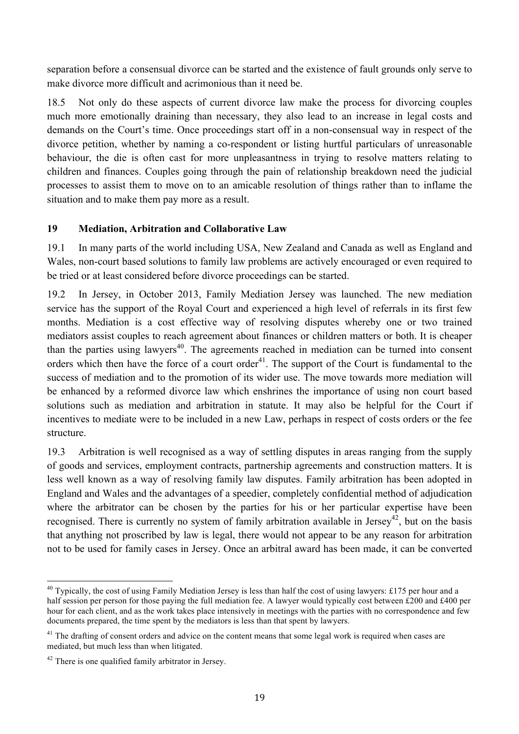separation before a consensual divorce can be started and the existence of fault grounds only serve to make divorce more difficult and acrimonious than it need be.

18.5 Not only do these aspects of current divorce law make the process for divorcing couples much more emotionally draining than necessary, they also lead to an increase in legal costs and demands on the Court's time. Once proceedings start off in a non-consensual way in respect of the divorce petition, whether by naming a co-respondent or listing hurtful particulars of unreasonable behaviour, the die is often cast for more unpleasantness in trying to resolve matters relating to children and finances. Couples going through the pain of relationship breakdown need the judicial processes to assist them to move on to an amicable resolution of things rather than to inflame the situation and to make them pay more as a result.

#### **19 Mediation, Arbitration and Collaborative Law**

19.1 In many parts of the world including USA, New Zealand and Canada as well as England and Wales, non-court based solutions to family law problems are actively encouraged or even required to be tried or at least considered before divorce proceedings can be started.

19.2 In Jersey, in October 2013, Family Mediation Jersey was launched. The new mediation service has the support of the Royal Court and experienced a high level of referrals in its first few months. Mediation is a cost effective way of resolving disputes whereby one or two trained mediators assist couples to reach agreement about finances or children matters or both. It is cheaper than the parties using lawyers<sup>40</sup>. The agreements reached in mediation can be turned into consent orders which then have the force of a court order<sup>41</sup>. The support of the Court is fundamental to the success of mediation and to the promotion of its wider use. The move towards more mediation will be enhanced by a reformed divorce law which enshrines the importance of using non court based solutions such as mediation and arbitration in statute. It may also be helpful for the Court if incentives to mediate were to be included in a new Law, perhaps in respect of costs orders or the fee structure.

19.3 Arbitration is well recognised as a way of settling disputes in areas ranging from the supply of goods and services, employment contracts, partnership agreements and construction matters. It is less well known as a way of resolving family law disputes. Family arbitration has been adopted in England and Wales and the advantages of a speedier, completely confidential method of adjudication where the arbitrator can be chosen by the parties for his or her particular expertise have been recognised. There is currently no system of family arbitration available in Jersey<sup>42</sup>, but on the basis that anything not proscribed by law is legal, there would not appear to be any reason for arbitration not to be used for family cases in Jersey. Once an arbitral award has been made, it can be converted

 $40$  Typically, the cost of using Family Mediation Jersey is less than half the cost of using lawyers: £175 per hour and a half session per person for those paying the full mediation fee. A lawyer would typically cost between £200 and £400 per hour for each client, and as the work takes place intensively in meetings with the parties with no correspondence and few documents prepared, the time spent by the mediators is less than that spent by lawyers.

 $41$  The drafting of consent orders and advice on the content means that some legal work is required when cases are mediated, but much less than when litigated.

<sup>&</sup>lt;sup>42</sup> There is one qualified family arbitrator in Jersey.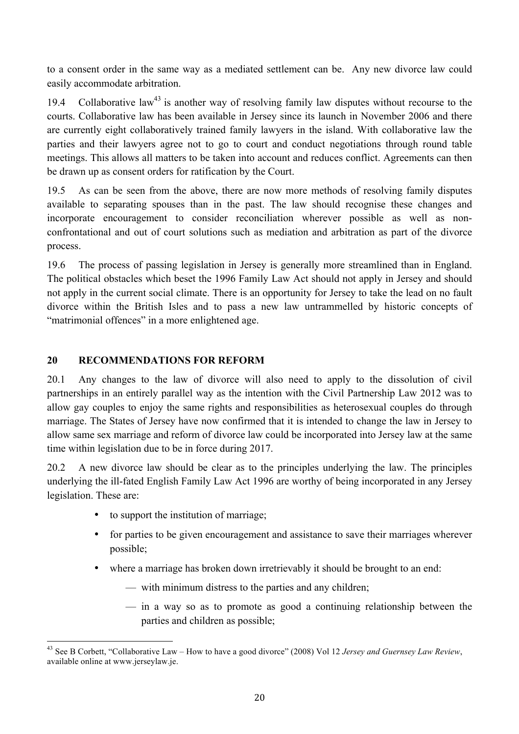to a consent order in the same way as a mediated settlement can be. Any new divorce law could easily accommodate arbitration.

19.4 Collaborative law<sup>43</sup> is another way of resolving family law disputes without recourse to the courts. Collaborative law has been available in Jersey since its launch in November 2006 and there are currently eight collaboratively trained family lawyers in the island. With collaborative law the parties and their lawyers agree not to go to court and conduct negotiations through round table meetings. This allows all matters to be taken into account and reduces conflict. Agreements can then be drawn up as consent orders for ratification by the Court.

19.5 As can be seen from the above, there are now more methods of resolving family disputes available to separating spouses than in the past. The law should recognise these changes and incorporate encouragement to consider reconciliation wherever possible as well as nonconfrontational and out of court solutions such as mediation and arbitration as part of the divorce process.

19.6 The process of passing legislation in Jersey is generally more streamlined than in England. The political obstacles which beset the 1996 Family Law Act should not apply in Jersey and should not apply in the current social climate. There is an opportunity for Jersey to take the lead on no fault divorce within the British Isles and to pass a new law untrammelled by historic concepts of "matrimonial offences" in a more enlightened age.

#### **20 RECOMMENDATIONS FOR REFORM**

20.1 Any changes to the law of divorce will also need to apply to the dissolution of civil partnerships in an entirely parallel way as the intention with the Civil Partnership Law 2012 was to allow gay couples to enjoy the same rights and responsibilities as heterosexual couples do through marriage. The States of Jersey have now confirmed that it is intended to change the law in Jersey to allow same sex marriage and reform of divorce law could be incorporated into Jersey law at the same time within legislation due to be in force during 2017.

20.2 A new divorce law should be clear as to the principles underlying the law. The principles underlying the ill-fated English Family Law Act 1996 are worthy of being incorporated in any Jersey legislation. These are:

- to support the institution of marriage;
- for parties to be given encouragement and assistance to save their marriages wherever possible;
- where a marriage has broken down irretrievably it should be brought to an end:
	- with minimum distress to the parties and any children;
	- in a way so as to promote as good a continuing relationship between the parties and children as possible;

 <sup>43</sup> See B Corbett, "Collaborative Law – How to have a good divorce" (2008) Vol 12 *Jersey and Guernsey Law Review*, available online at www.jerseylaw.je.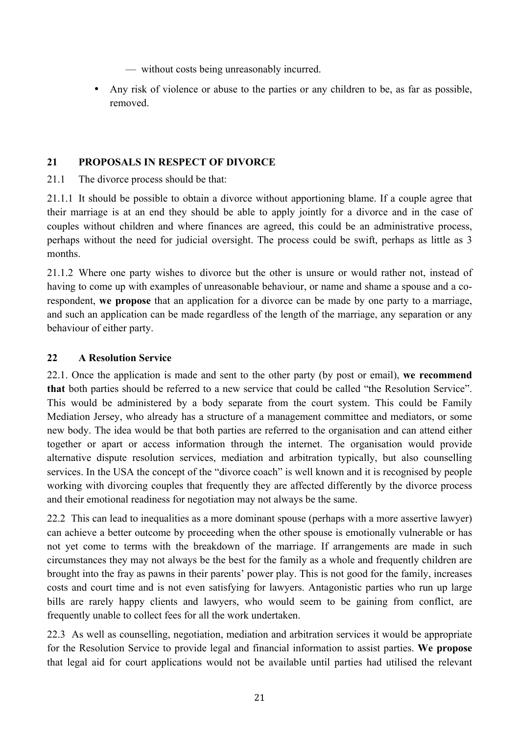- without costs being unreasonably incurred.
- Any risk of violence or abuse to the parties or any children to be, as far as possible, removed.

#### **21 PROPOSALS IN RESPECT OF DIVORCE**

21.1 The divorce process should be that:

21.1.1 It should be possible to obtain a divorce without apportioning blame. If a couple agree that their marriage is at an end they should be able to apply jointly for a divorce and in the case of couples without children and where finances are agreed, this could be an administrative process, perhaps without the need for judicial oversight. The process could be swift, perhaps as little as 3 months.

21.1.2 Where one party wishes to divorce but the other is unsure or would rather not, instead of having to come up with examples of unreasonable behaviour, or name and shame a spouse and a corespondent, **we propose** that an application for a divorce can be made by one party to a marriage, and such an application can be made regardless of the length of the marriage, any separation or any behaviour of either party.

#### **22 A Resolution Service**

22.1. Once the application is made and sent to the other party (by post or email), **we recommend that** both parties should be referred to a new service that could be called "the Resolution Service". This would be administered by a body separate from the court system. This could be Family Mediation Jersey, who already has a structure of a management committee and mediators, or some new body. The idea would be that both parties are referred to the organisation and can attend either together or apart or access information through the internet. The organisation would provide alternative dispute resolution services, mediation and arbitration typically, but also counselling services. In the USA the concept of the "divorce coach" is well known and it is recognised by people working with divorcing couples that frequently they are affected differently by the divorce process and their emotional readiness for negotiation may not always be the same.

22.2 This can lead to inequalities as a more dominant spouse (perhaps with a more assertive lawyer) can achieve a better outcome by proceeding when the other spouse is emotionally vulnerable or has not yet come to terms with the breakdown of the marriage. If arrangements are made in such circumstances they may not always be the best for the family as a whole and frequently children are brought into the fray as pawns in their parents' power play. This is not good for the family, increases costs and court time and is not even satisfying for lawyers. Antagonistic parties who run up large bills are rarely happy clients and lawyers, who would seem to be gaining from conflict, are frequently unable to collect fees for all the work undertaken.

22.3 As well as counselling, negotiation, mediation and arbitration services it would be appropriate for the Resolution Service to provide legal and financial information to assist parties. **We propose** that legal aid for court applications would not be available until parties had utilised the relevant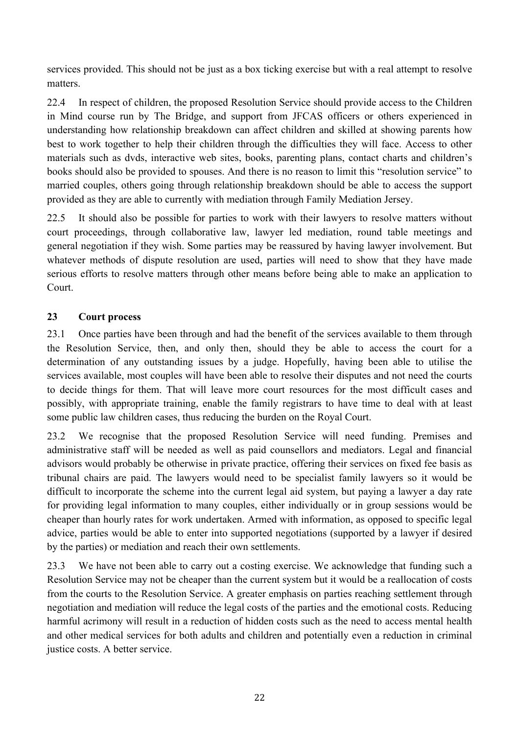services provided. This should not be just as a box ticking exercise but with a real attempt to resolve matters.

22.4 In respect of children, the proposed Resolution Service should provide access to the Children in Mind course run by The Bridge, and support from JFCAS officers or others experienced in understanding how relationship breakdown can affect children and skilled at showing parents how best to work together to help their children through the difficulties they will face. Access to other materials such as dvds, interactive web sites, books, parenting plans, contact charts and children's books should also be provided to spouses. And there is no reason to limit this "resolution service" to married couples, others going through relationship breakdown should be able to access the support provided as they are able to currently with mediation through Family Mediation Jersey.

22.5 It should also be possible for parties to work with their lawyers to resolve matters without court proceedings, through collaborative law, lawyer led mediation, round table meetings and general negotiation if they wish. Some parties may be reassured by having lawyer involvement. But whatever methods of dispute resolution are used, parties will need to show that they have made serious efforts to resolve matters through other means before being able to make an application to Court.

#### **23 Court process**

23.1 Once parties have been through and had the benefit of the services available to them through the Resolution Service, then, and only then, should they be able to access the court for a determination of any outstanding issues by a judge. Hopefully, having been able to utilise the services available, most couples will have been able to resolve their disputes and not need the courts to decide things for them. That will leave more court resources for the most difficult cases and possibly, with appropriate training, enable the family registrars to have time to deal with at least some public law children cases, thus reducing the burden on the Royal Court.

23.2 We recognise that the proposed Resolution Service will need funding. Premises and administrative staff will be needed as well as paid counsellors and mediators. Legal and financial advisors would probably be otherwise in private practice, offering their services on fixed fee basis as tribunal chairs are paid. The lawyers would need to be specialist family lawyers so it would be difficult to incorporate the scheme into the current legal aid system, but paying a lawyer a day rate for providing legal information to many couples, either individually or in group sessions would be cheaper than hourly rates for work undertaken. Armed with information, as opposed to specific legal advice, parties would be able to enter into supported negotiations (supported by a lawyer if desired by the parties) or mediation and reach their own settlements.

23.3 We have not been able to carry out a costing exercise. We acknowledge that funding such a Resolution Service may not be cheaper than the current system but it would be a reallocation of costs from the courts to the Resolution Service. A greater emphasis on parties reaching settlement through negotiation and mediation will reduce the legal costs of the parties and the emotional costs. Reducing harmful acrimony will result in a reduction of hidden costs such as the need to access mental health and other medical services for both adults and children and potentially even a reduction in criminal justice costs. A better service.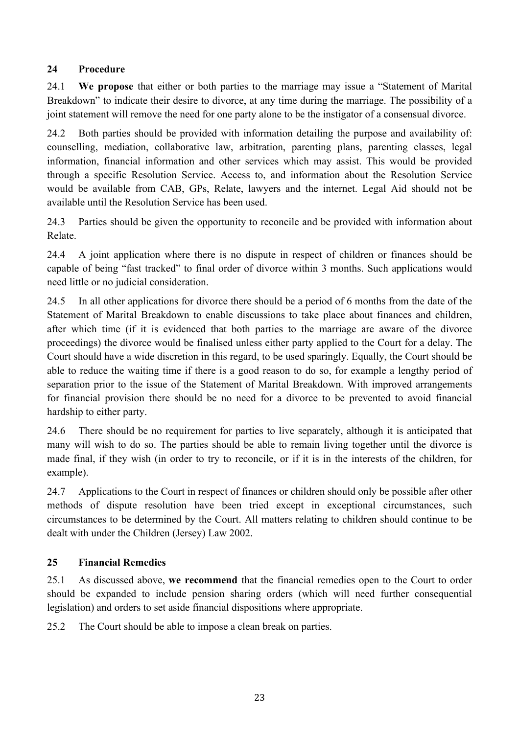#### **24 Procedure**

24.1 **We propose** that either or both parties to the marriage may issue a "Statement of Marital Breakdown" to indicate their desire to divorce, at any time during the marriage. The possibility of a joint statement will remove the need for one party alone to be the instigator of a consensual divorce.

24.2 Both parties should be provided with information detailing the purpose and availability of: counselling, mediation, collaborative law, arbitration, parenting plans, parenting classes, legal information, financial information and other services which may assist. This would be provided through a specific Resolution Service. Access to, and information about the Resolution Service would be available from CAB, GPs, Relate, lawyers and the internet. Legal Aid should not be available until the Resolution Service has been used.

24.3 Parties should be given the opportunity to reconcile and be provided with information about Relate.

24.4 A joint application where there is no dispute in respect of children or finances should be capable of being "fast tracked" to final order of divorce within 3 months. Such applications would need little or no judicial consideration.

24.5 In all other applications for divorce there should be a period of 6 months from the date of the Statement of Marital Breakdown to enable discussions to take place about finances and children, after which time (if it is evidenced that both parties to the marriage are aware of the divorce proceedings) the divorce would be finalised unless either party applied to the Court for a delay. The Court should have a wide discretion in this regard, to be used sparingly. Equally, the Court should be able to reduce the waiting time if there is a good reason to do so, for example a lengthy period of separation prior to the issue of the Statement of Marital Breakdown. With improved arrangements for financial provision there should be no need for a divorce to be prevented to avoid financial hardship to either party.

24.6 There should be no requirement for parties to live separately, although it is anticipated that many will wish to do so. The parties should be able to remain living together until the divorce is made final, if they wish (in order to try to reconcile, or if it is in the interests of the children, for example).

24.7 Applications to the Court in respect of finances or children should only be possible after other methods of dispute resolution have been tried except in exceptional circumstances, such circumstances to be determined by the Court. All matters relating to children should continue to be dealt with under the Children (Jersey) Law 2002.

#### **25 Financial Remedies**

25.1 As discussed above, **we recommend** that the financial remedies open to the Court to order should be expanded to include pension sharing orders (which will need further consequential legislation) and orders to set aside financial dispositions where appropriate.

25.2 The Court should be able to impose a clean break on parties.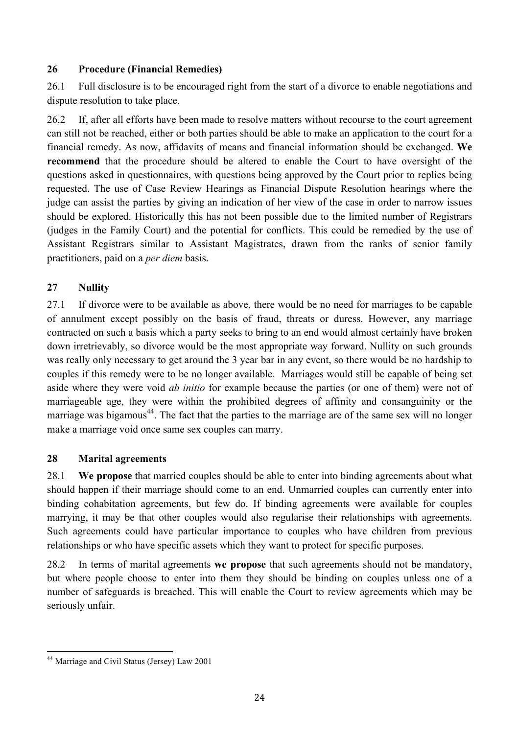#### **26 Procedure (Financial Remedies)**

26.1 Full disclosure is to be encouraged right from the start of a divorce to enable negotiations and dispute resolution to take place.

26.2 If, after all efforts have been made to resolve matters without recourse to the court agreement can still not be reached, either or both parties should be able to make an application to the court for a financial remedy. As now, affidavits of means and financial information should be exchanged. **We recommend** that the procedure should be altered to enable the Court to have oversight of the questions asked in questionnaires, with questions being approved by the Court prior to replies being requested. The use of Case Review Hearings as Financial Dispute Resolution hearings where the judge can assist the parties by giving an indication of her view of the case in order to narrow issues should be explored. Historically this has not been possible due to the limited number of Registrars (judges in the Family Court) and the potential for conflicts. This could be remedied by the use of Assistant Registrars similar to Assistant Magistrates, drawn from the ranks of senior family practitioners, paid on a *per diem* basis.

#### **27 Nullity**

27.1 If divorce were to be available as above, there would be no need for marriages to be capable of annulment except possibly on the basis of fraud, threats or duress. However, any marriage contracted on such a basis which a party seeks to bring to an end would almost certainly have broken down irretrievably, so divorce would be the most appropriate way forward. Nullity on such grounds was really only necessary to get around the 3 year bar in any event, so there would be no hardship to couples if this remedy were to be no longer available. Marriages would still be capable of being set aside where they were void *ab initio* for example because the parties (or one of them) were not of marriageable age, they were within the prohibited degrees of affinity and consanguinity or the marriage was bigamous<sup>44</sup>. The fact that the parties to the marriage are of the same sex will no longer make a marriage void once same sex couples can marry.

#### **28 Marital agreements**

28.1 **We propose** that married couples should be able to enter into binding agreements about what should happen if their marriage should come to an end. Unmarried couples can currently enter into binding cohabitation agreements, but few do. If binding agreements were available for couples marrying, it may be that other couples would also regularise their relationships with agreements. Such agreements could have particular importance to couples who have children from previous relationships or who have specific assets which they want to protect for specific purposes.

28.2 In terms of marital agreements **we propose** that such agreements should not be mandatory, but where people choose to enter into them they should be binding on couples unless one of a number of safeguards is breached. This will enable the Court to review agreements which may be seriously unfair.

 <sup>44</sup> Marriage and Civil Status (Jersey) Law 2001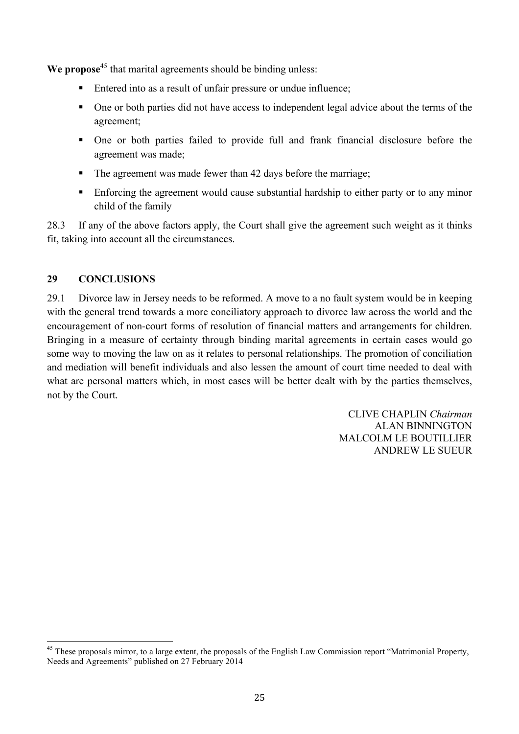**We propose**<sup>45</sup> that marital agreements should be binding unless:

- Entered into as a result of unfair pressure or undue influence;
- One or both parties did not have access to independent legal advice about the terms of the agreement;
- § One or both parties failed to provide full and frank financial disclosure before the agreement was made;
- The agreement was made fewer than 42 days before the marriage;
- Enforcing the agreement would cause substantial hardship to either party or to any minor child of the family

28.3 If any of the above factors apply, the Court shall give the agreement such weight as it thinks fit, taking into account all the circumstances.

#### **29 CONCLUSIONS**

29.1 Divorce law in Jersey needs to be reformed. A move to a no fault system would be in keeping with the general trend towards a more conciliatory approach to divorce law across the world and the encouragement of non-court forms of resolution of financial matters and arrangements for children. Bringing in a measure of certainty through binding marital agreements in certain cases would go some way to moving the law on as it relates to personal relationships. The promotion of conciliation and mediation will benefit individuals and also lessen the amount of court time needed to deal with what are personal matters which, in most cases will be better dealt with by the parties themselves, not by the Court.

> CLIVE CHAPLIN *Chairman* ALAN BINNINGTON MALCOLM LE BOUTILLIER ANDREW LE SUEUR

<sup>&</sup>lt;sup>45</sup> These proposals mirror, to a large extent, the proposals of the English Law Commission report "Matrimonial Property, Needs and Agreements" published on 27 February 2014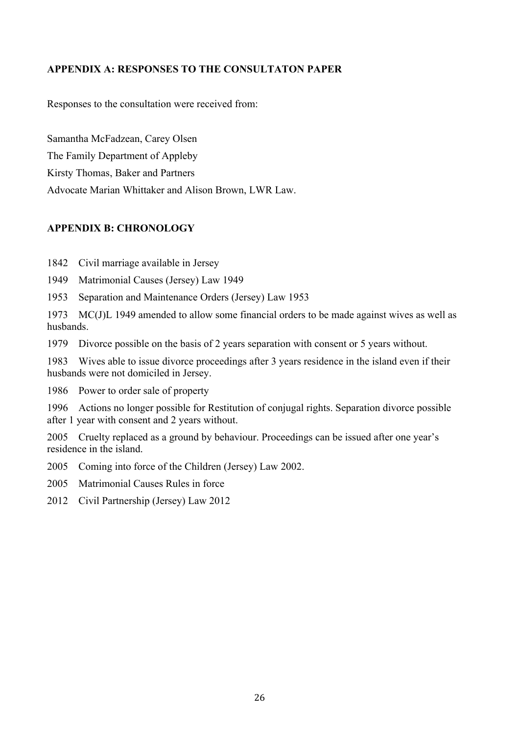#### **APPENDIX A: RESPONSES TO THE CONSULTATON PAPER**

Responses to the consultation were received from:

Samantha McFadzean, Carey Olsen

The Family Department of Appleby

Kirsty Thomas, Baker and Partners

Advocate Marian Whittaker and Alison Brown, LWR Law.

#### **APPENDIX B: CHRONOLOGY**

1842 Civil marriage available in Jersey

- 1949 Matrimonial Causes (Jersey) Law 1949
- 1953 Separation and Maintenance Orders (Jersey) Law 1953

1973 MC(J)L 1949 amended to allow some financial orders to be made against wives as well as husbands.

1979 Divorce possible on the basis of 2 years separation with consent or 5 years without.

1983 Wives able to issue divorce proceedings after 3 years residence in the island even if their husbands were not domiciled in Jersey.

1986 Power to order sale of property

1996 Actions no longer possible for Restitution of conjugal rights. Separation divorce possible after 1 year with consent and 2 years without.

2005 Cruelty replaced as a ground by behaviour. Proceedings can be issued after one year's residence in the island.

2005 Coming into force of the Children (Jersey) Law 2002.

2005 Matrimonial Causes Rules in force

2012 Civil Partnership (Jersey) Law 2012